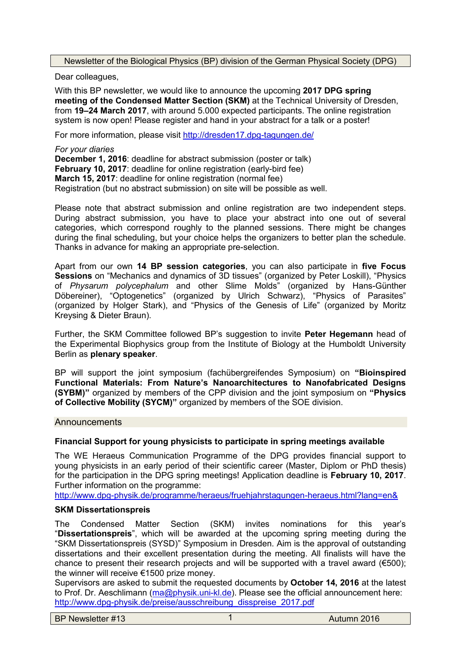Newsletter of the Biological Physics (BP) division of the German Physical Society (DPG)

Dear colleagues,

With this BP newsletter, we would like to announce the upcoming **2017 DPG spring meeting of the Condensed Matter Section (SKM)** at the Technical University of Dresden, from **19–24 March 2017**, with around 5.000 expected participants. The online registration system is now open! Please register and hand in your abstract for a talk or a poster!

For more information, please visit <http://dresden17.dpg-tagungen.de/>

*For your diaries* **December 1, 2016**: deadline for abstract submission (poster or talk) **February 10, 2017**: deadline for online registration (early-bird fee) **March 15, 2017**: deadline for online registration (normal fee) Registration (but no abstract submission) on site will be possible as well.

Please note that abstract submission and online registration are two independent steps. During abstract submission, you have to place your abstract into one out of several categories, which correspond roughly to the planned sessions. There might be changes during the final scheduling, but your choice helps the organizers to better plan the schedule. Thanks in advance for making an appropriate pre-selection.

Apart from our own **14 BP session categories**, you can also participate in **five Focus Sessions** on "Mechanics and dynamics of 3D tissues" (organized by Peter Loskill), "Physics of *Physarum polycephalum* and other Slime Molds" (organized by Hans-Günther Döbereiner), "Optogenetics" (organized by Ulrich Schwarz), "Physics of Parasites" (organized by Holger Stark), and "Physics of the Genesis of Life" (organized by Moritz Kreysing & Dieter Braun).

Further, the SKM Committee followed BP's suggestion to invite **Peter Hegemann** head of the Experimental Biophysics group from the Institute of Biology at the Humboldt University Berlin as **plenary speaker**.

BP will support the joint symposium (fachübergreifendes Symposium) on **"Bioinspired Functional Materials: From Nature's Nanoarchitectures to Nanofabricated Designs (SYBM)"** organized by members of the CPP division and the joint symposium on **"Physics of Collective Mobility (SYCM)"** organized by members of the SOE division.

#### **Announcements**

# **Financial Support for young physicists to participate in spring meetings available**

The WE Heraeus Communication Programme of the DPG provides financial support to young physicists in an early period of their scientific career (Master, Diplom or PhD thesis) for the participation in the DPG spring meetings! Application deadline is **February 10, 2017**. Further information on the programme:

<http://www.dpg-physik.de/programme/heraeus/fruehjahrstagungen-heraeus.html?lang=en&>

### **SKM Dissertationspreis**

The Condensed Matter Section (SKM) invites nominations for this year's "**Dissertationspreis**", which will be awarded at the upcoming spring meeting during the "SKM Dissertationspreis (SYSD)" Symposium in Dresden. Aim is the approval of outstanding dissertations and their excellent presentation during the meeting. All finalists will have the chance to present their research projects and will be supported with a travel award ( $€500$ ); the winner will receive €1500 prize money.

Supervisors are asked to submit the requested documents by **October 14, 2016** at the latest to Prof. Dr. Aeschlimann [\(ma@physik.uni-kl.de\)](mailto:ma@physik.uni-kl.de). Please see the official announcement here: [http://www.dpg-physik.de/preise/ausschreibung\\_disspreise\\_2017.pdf](http://www.dpg-physik.de/preise/ausschreibung_disspreise_2017.pdf)

BP Newsletter #13 1 Autumn 2016